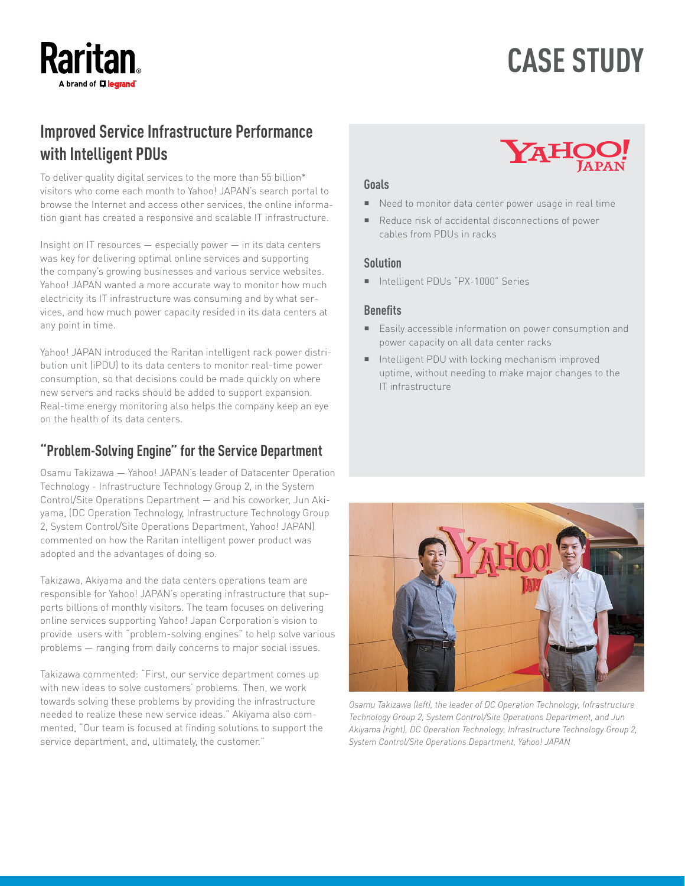

# **CASE STUDY**

# **Improved Service Infrastructure Performance with Intelligent PDUs**

To deliver quality digital services to the more than 55 billion\* visitors who come each month to Yahoo! JAPAN's search portal to browse the Internet and access other services, the online information giant has created a responsive and scalable IT infrastructure.

Insight on IT resources — especially power — in its data centers was key for delivering optimal online services and supporting the company's growing businesses and various service websites. Yahoo! JAPAN wanted a more accurate way to monitor how much electricity its IT infrastructure was consuming and by what services, and how much power capacity resided in its data centers at any point in time.

Yahoo! JAPAN introduced the Raritan intelligent rack power distribution unit (iPDU) to its data centers to monitor real-time power consumption, so that decisions could be made quickly on where new servers and racks should be added to support expansion. Real-time energy monitoring also helps the company keep an eye on the health of its data centers.

## **"Problem-Solving Engine" for the Service Department**

Osamu Takizawa — Yahoo! JAPAN's leader of Datacenter Operation Technology - Infrastructure Technology Group 2, in the System Control/Site Operations Department — and his coworker, Jun Akiyama, (DC Operation Technology, Infrastructure Technology Group 2, System Control/Site Operations Department, Yahoo! JAPAN) commented on how the Raritan intelligent power product was adopted and the advantages of doing so.

Takizawa, Akiyama and the data centers operations team are responsible for Yahoo! JAPAN's operating infrastructure that supports billions of monthly visitors. The team focuses on delivering online services supporting Yahoo! Japan Corporation's vision to provide users with "problem-solving engines" to help solve various problems — ranging from daily concerns to major social issues.

Takizawa commented: "First, our service department comes up with new ideas to solve customers' problems. Then, we work towards solving these problems by providing the infrastructure needed to realize these new service ideas." Akiyama also commented, "Our team is focused at finding solutions to support the service department, and, ultimately, the customer."

#### **Goals**

- Need to monitor data center power usage in real time
- Reduce risk of accidental disconnections of power cables from PDUs in racks

#### **Solution**

Intelligent PDUs "PX-1000" Series

#### **Benefits**

- Easily accessible information on power consumption and power capacity on all data center racks
- Intelligent PDU with locking mechanism improved uptime, without needing to make major changes to the IT infrastructure



*Osamu Takizawa (left), the leader of DC Operation Technology, Infrastructure Technology Group 2, System Control/Site Operations Department, and Jun Akiyama (right), DC Operation Technology, Infrastructure Technology Group 2, System Control/Site Operations Department, Yahoo! JAPAN*